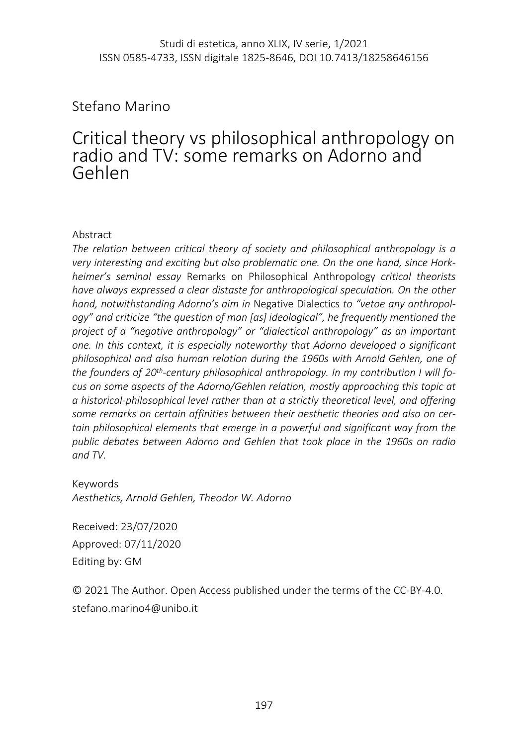# Stefano Marino

# Critical theory vs philosophical anthropology on radio and TV: some remarks on Adorno and Gehlen

### Abstract

*The relation between critical theory of society and philosophical anthropology is a very interesting and exciting but also problematic one. On the one hand, since Horkheimer's seminal essay* Remarks on Philosophical Anthropology *critical theorists have always expressed a clear distaste for anthropological speculation. On the other hand, notwithstanding Adorno's aim in* Negative Dialectics *to "vetoe any anthropology" and criticize "the question of man [as] ideological", he frequently mentioned the project of a "negative anthropology" or "dialectical anthropology" as an important one. In this context, it is especially noteworthy that Adorno developed a significant philosophical and also human relation during the 1960s with Arnold Gehlen, one of the founders of 20th-century philosophical anthropology. In my contribution I will focus on some aspects of the Adorno/Gehlen relation, mostly approaching this topic at a historical-philosophical level rather than at a strictly theoretical level, and offering some remarks on certain affinities between their aesthetic theories and also on certain philosophical elements that emerge in a powerful and significant way from the public debates between Adorno and Gehlen that took place in the 1960s on radio and TV.*

Keywords *Aesthetics, Arnold Gehlen, Theodor W. Adorno*

Received: 23/07/2020 Approved: 07/11/2020 Editing by: GM

© 2021 The Author. Open Access published under the terms of the CC-BY-4.0. stefano.marino4@unibo.it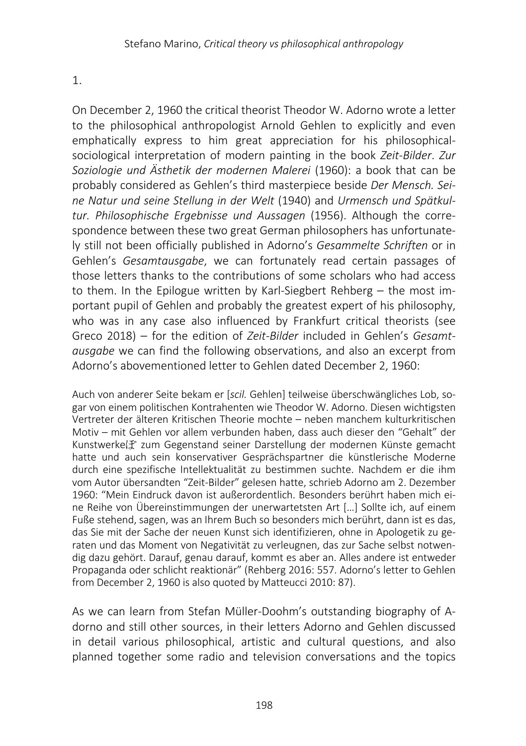1.

On December 2, 1960 the critical theorist Theodor W. Adorno wrote a letter to the philosophical anthropologist Arnold Gehlen to explicitly and even emphatically express to him great appreciation for his philosophicalsociological interpretation of modern painting in the book *Zeit*-*Bilder*. *Zur Soziologie und Ästhetik der modernen Malerei* (1960): a book that can be probably considered as Gehlen's third masterpiece beside *Der Mensch. Seine Natur und seine Stellung in der Welt* (1940) and *Urmensch und Spätkultur. Philosophische Ergebnisse und Aussagen* (1956). Although the correspondence between these two great German philosophers has unfortunately still not been officially published in Adorno's *Gesammelte Schriften* or in Gehlen's *Gesamtausgabe*, we can fortunately read certain passages of those letters thanks to the contributions of some scholars who had access to them. In the Epilogue written by Karl-Siegbert Rehberg – the most important pupil of Gehlen and probably the greatest expert of his philosophy, who was in any case also influenced by Frankfurt critical theorists (see Greco 2018) – for the edition of *Zeit*-*Bilder* included in Gehlen's *Gesamtausgabe* we can find the following observations, and also an excerpt from Adorno's abovementioned letter to Gehlen dated December 2, 1960:

Auch von anderer Seite bekam er [*scil.* Gehlen] teilweise überschwängliches Lob, sogar von einem politischen Kontrahenten wie Theodor W. Adorno. Diesen wichtigsten Vertreter der älteren Kritischen Theorie mochte – neben manchem kulturkritischen Motiv – mit Gehlen vor allem verbunden haben, dass auch dieser den "Gehalt" der Kunstwerkeぼ zum Gegenstand seiner Darstellung der modernen Künste gemacht hatte und auch sein konservativer Gesprächspartner die künstlerische Moderne durch eine spezifische Intellektualität zu bestimmen suchte. Nachdem er die ihm vom Autor übersandten "Zeit-Bilder" gelesen hatte, schrieb Adorno am 2. Dezember 1960: "Mein Eindruck davon ist außerordentlich. Besonders berührt haben mich eine Reihe von Übereinstimmungen der unerwartetsten Art […] Sollte ich, auf einem Fuße stehend, sagen, was an Ihrem Buch so besonders mich berührt, dann ist es das, das Sie mit der Sache der neuen Kunst sich identifizieren, ohne in Apologetik zu geraten und das Moment von Negativität zu verleugnen, das zur Sache selbst notwendig dazu gehört. Darauf, genau darauf, kommt es aber an. Alles andere ist entweder Propaganda oder schlicht reaktionär" (Rehberg 2016: 557. Adorno's letter to Gehlen from December 2, 1960 is also quoted by Matteucci 2010: 87).

As we can learn from Stefan Müller-Doohm's outstanding biography of Adorno and still other sources, in their letters Adorno and Gehlen discussed in detail various philosophical, artistic and cultural questions, and also planned together some radio and television conversations and the topics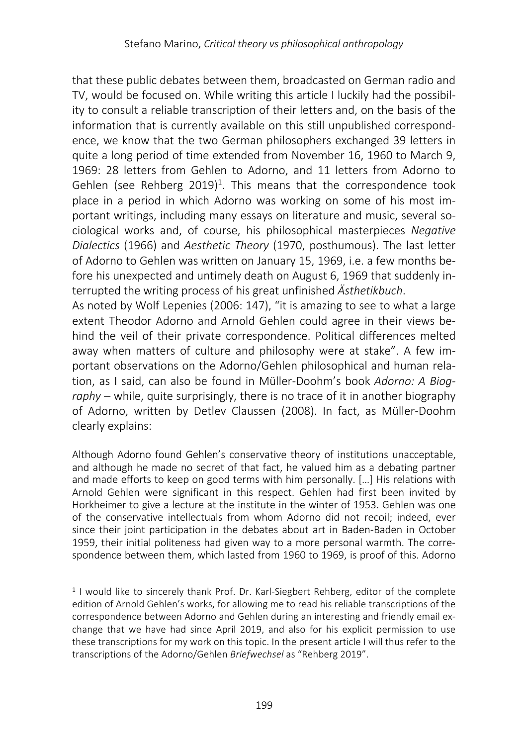that these public debates between them, broadcasted on German radio and TV, would be focused on. While writing this article I luckily had the possibility to consult a reliable transcription of their letters and, on the basis of the information that is currently available on this still unpublished correspondence, we know that the two German philosophers exchanged 39 letters in quite a long period of time extended from November 16, 1960 to March 9, 1969: 28 letters from Gehlen to Adorno, and 11 letters from Adorno to Gehlen (see Rehberg 2019)<sup>1</sup>. This means that the correspondence took place in a period in which Adorno was working on some of his most important writings, including many essays on literature and music, several sociological works and, of course, his philosophical masterpieces *Negative Dialectics* (1966) and *Aesthetic Theory* (1970, posthumous). The last letter of Adorno to Gehlen was written on January 15, 1969, i.e. a few months before his unexpected and untimely death on August 6, 1969 that suddenly interrupted the writing process of his great unfinished *Ästhetikbuch*.

As noted by Wolf Lepenies (2006: 147), "it is amazing to see to what a large extent Theodor Adorno and Arnold Gehlen could agree in their views behind the veil of their private correspondence. Political differences melted away when matters of culture and philosophy were at stake". A few important observations on the Adorno/Gehlen philosophical and human relation, as I said, can also be found in Müller-Doohm's book *Adorno: A Biography* – while, quite surprisingly, there is no trace of it in another biography of Adorno, written by Detlev Claussen (2008). In fact, as Müller-Doohm clearly explains:

Although Adorno found Gehlen's conservative theory of institutions unacceptable, and although he made no secret of that fact, he valued him as a debating partner and made efforts to keep on good terms with him personally. […] His relations with Arnold Gehlen were significant in this respect. Gehlen had first been invited by Horkheimer to give a lecture at the institute in the winter of 1953. Gehlen was one of the conservative intellectuals from whom Adorno did not recoil; indeed, ever since their joint participation in the debates about art in Baden-Baden in October 1959, their initial politeness had given way to a more personal warmth. The correspondence between them, which lasted from 1960 to 1969, is proof of this. Adorno

<sup>1</sup> I would like to sincerely thank Prof. Dr. Karl-Siegbert Rehberg, editor of the complete edition of Arnold Gehlen's works, for allowing me to read his reliable transcriptions of the correspondence between Adorno and Gehlen during an interesting and friendly email exchange that we have had since April 2019, and also for his explicit permission to use these transcriptions for my work on this topic. In the present article I will thus refer to the transcriptions of the Adorno/Gehlen *Briefwechsel* as "Rehberg 2019".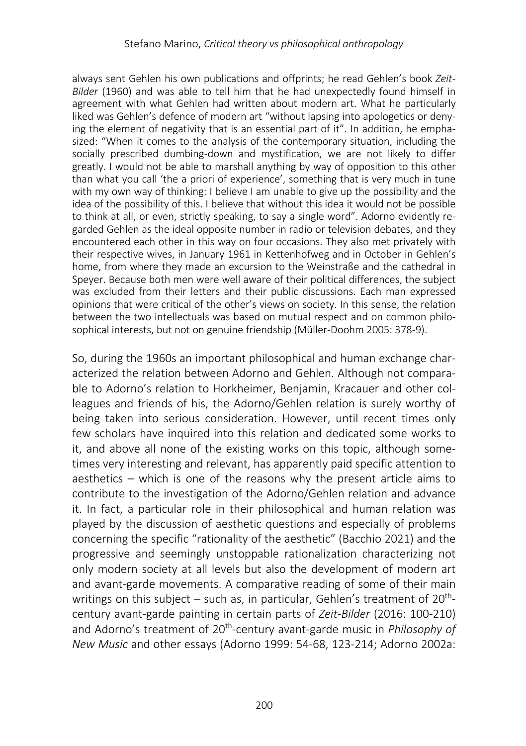#### Stefano Marino, *Critical theory vs philosophical anthropology*

always sent Gehlen his own publications and offprints; he read Gehlen's book *Zeit-Bilder* (1960) and was able to tell him that he had unexpectedly found himself in agreement with what Gehlen had written about modern art. What he particularly liked was Gehlen's defence of modern art "without lapsing into apologetics or denying the element of negativity that is an essential part of it". In addition, he emphasized: "When it comes to the analysis of the contemporary situation, including the socially prescribed dumbing-down and mystification, we are not likely to differ greatly. I would not be able to marshall anything by way of opposition to this other than what you call 'the a priori of experience', something that is very much in tune with my own way of thinking: I believe I am unable to give up the possibility and the idea of the possibility of this. I believe that without this idea it would not be possible to think at all, or even, strictly speaking, to say a single word". Adorno evidently regarded Gehlen as the ideal opposite number in radio or television debates, and they encountered each other in this way on four occasions. They also met privately with their respective wives, in January 1961 in Kettenhofweg and in October in Gehlen's home, from where they made an excursion to the Weinstraße and the cathedral in Speyer. Because both men were well aware of their political differences, the subject was excluded from their letters and their public discussions. Each man expressed opinions that were critical of the other's views on society. In this sense, the relation between the two intellectuals was based on mutual respect and on common philosophical interests, but not on genuine friendship (Müller-Doohm 2005: 378-9).

So, during the 1960s an important philosophical and human exchange characterized the relation between Adorno and Gehlen. Although not comparable to Adorno's relation to Horkheimer, Benjamin, Kracauer and other colleagues and friends of his, the Adorno/Gehlen relation is surely worthy of being taken into serious consideration. However, until recent times only few scholars have inquired into this relation and dedicated some works to it, and above all none of the existing works on this topic, although sometimes very interesting and relevant, has apparently paid specific attention to aesthetics – which is one of the reasons why the present article aims to contribute to the investigation of the Adorno/Gehlen relation and advance it. In fact, a particular role in their philosophical and human relation was played by the discussion of aesthetic questions and especially of problems concerning the specific "rationality of the aesthetic" (Bacchio 2021) and the progressive and seemingly unstoppable rationalization characterizing not only modern society at all levels but also the development of modern art and avant-garde movements. A comparative reading of some of their main writings on this subject – such as, in particular, Gehlen's treatment of  $20^{th}$ century avant-garde painting in certain parts of *Zeit-Bilder* (2016: 100-210) and Adorno's treatment of 20<sup>th</sup>-century avant-garde music in *Philosophy of New Music* and other essays (Adorno 1999: 54-68, 123-214; Adorno 2002a: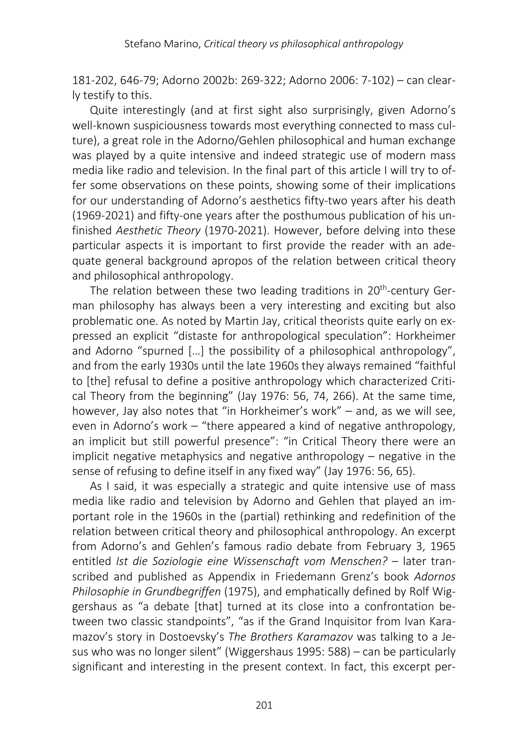181-202, 646-79; Adorno 2002b: 269-322; Adorno 2006: 7-102) – can clearly testify to this.

Quite interestingly (and at first sight also surprisingly, given Adorno's well-known suspiciousness towards most everything connected to mass culture), a great role in the Adorno/Gehlen philosophical and human exchange was played by a quite intensive and indeed strategic use of modern mass media like radio and television. In the final part of this article I will try to offer some observations on these points, showing some of their implications for our understanding of Adorno's aesthetics fifty-two years after his death (1969-2021) and fifty-one years after the posthumous publication of his unfinished *Aesthetic Theory* (1970-2021). However, before delving into these particular aspects it is important to first provide the reader with an adequate general background apropos of the relation between critical theory and philosophical anthropology.

The relation between these two leading traditions in 20<sup>th</sup>-century German philosophy has always been a very interesting and exciting but also problematic one. As noted by Martin Jay, critical theorists quite early on expressed an explicit "distaste for anthropological speculation": Horkheimer and Adorno "spurned […] the possibility of a philosophical anthropology", and from the early 1930s until the late 1960s they always remained "faithful to [the] refusal to define a positive anthropology which characterized Critical Theory from the beginning" (Jay 1976: 56, 74, 266). At the same time, however, Jay also notes that "in Horkheimer's work" – and, as we will see, even in Adorno's work – "there appeared a kind of negative anthropology, an implicit but still powerful presence": "in Critical Theory there were an implicit negative metaphysics and negative anthropology – negative in the sense of refusing to define itself in any fixed way" (Jay 1976: 56, 65).

As I said, it was especially a strategic and quite intensive use of mass media like radio and television by Adorno and Gehlen that played an important role in the 1960s in the (partial) rethinking and redefinition of the relation between critical theory and philosophical anthropology. An excerpt from Adorno's and Gehlen's famous radio debate from February 3, 1965 entitled *Ist die Soziologie eine Wissenschaft vom Menschen?* – later transcribed and published as Appendix in Friedemann Grenz's book *Adornos Philosophie in Grundbegriffen* (1975), and emphatically defined by Rolf Wiggershaus as "a debate [that] turned at its close into a confrontation between two classic standpoints", "as if the Grand Inquisitor from Ivan Karamazov's story in Dostoevsky's *The Brothers Karamazov* was talking to a Jesus who was no longer silent" (Wiggershaus 1995: 588) – can be particularly significant and interesting in the present context. In fact, this excerpt per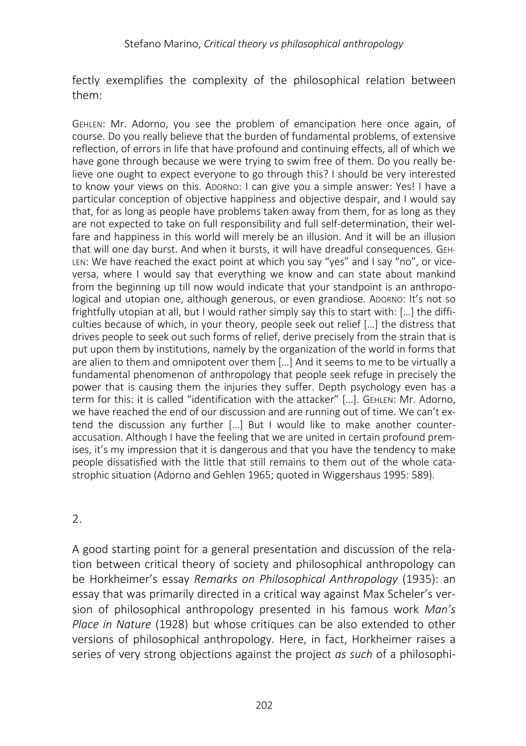fectly exemplifies the complexity of the philosophical relation between them:

GEHLEN: Mr. Adorno, you see the problem of emancipation here once again, of course. Do you really believe that the burden of fundamental problems, of extensive reflection, of errors in life that have profound and continuing effects, all of which we have gone through because we were trying to swim free of them. Do you really believe one ought to expect everyone to go through this? I should be very interested to know your views on this. ADORNO: I can give you a simple answer: Yes! I have a particular conception of objective happiness and objective despair, and I would say that, for as long as people have problems taken away from them, for as long as they are not expected to take on full responsibility and full self-determination, their welfare and happiness in this world will merely be an illusion. And it will be an illusion that will one day burst. And when it bursts, it will have dreadful consequences. GEH-LEN: We have reached the exact point at which you say "yes" and I say "no", or viceversa, where I would say that everything we know and can state about mankind from the beginning up till now would indicate that your standpoint is an anthropological and utopian one, although generous, or even grandiose. Aporno: It's not so frightfully utopian at all, but I would rather simply say this to start with: […] the difficulties because of which, in your theory, people seek out relief […] the distress that drives people to seek out such forms of relief, derive precisely from the strain that is put upon them by institutions, namely by the organization of the world in forms that are alien to them and omnipotent over them […] And it seems to me to be virtually a fundamental phenomenon of anthropology that people seek refuge in precisely the power that is causing them the injuries they suffer. Depth psychology even has a term for this: it is called "identification with the attacker" […]. GEHLEN: Mr. Adorno, we have reached the end of our discussion and are running out of time. We can't extend the discussion any further […] But I would like to make another counteraccusation. Although I have the feeling that we are united in certain profound premises, it's my impression that it is dangerous and that you have the tendency to make people dissatisfied with the little that still remains to them out of the whole catastrophic situation (Adorno and Gehlen 1965; quoted in Wiggershaus 1995: 589).

# 2.

A good starting point for a general presentation and discussion of the relation between critical theory of society and philosophical anthropology can be Horkheimer's essay *Remarks on Philosophical Anthropology* (1935): an essay that was primarily directed in a critical way against Max Scheler's version of philosophical anthropology presented in his famous work *Man's Place in Nature* (1928) but whose critiques can be also extended to other versions of philosophical anthropology. Here, in fact, Horkheimer raises a series of very strong objections against the project *as such* of a philosophi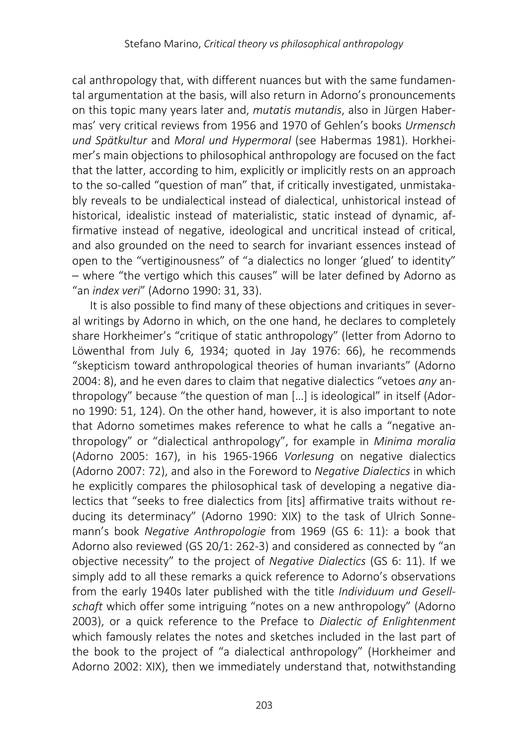cal anthropology that, with different nuances but with the same fundamental argumentation at the basis, will also return in Adorno's pronouncements on this topic many years later and, *mutatis mutandis*, also in Jürgen Habermas' very critical reviews from 1956 and 1970 of Gehlen's books *Urmensch und Spätkultur* and *Moral und Hypermoral* (see Habermas 1981). Horkheimer's main objections to philosophical anthropology are focused on the fact that the latter, according to him, explicitly or implicitly rests on an approach to the so-called "question of man" that, if critically investigated, unmistakably reveals to be undialectical instead of dialectical, unhistorical instead of historical, idealistic instead of materialistic, static instead of dynamic, affirmative instead of negative, ideological and uncritical instead of critical, and also grounded on the need to search for invariant essences instead of open to the "vertiginousness" of "a dialectics no longer 'glued' to identity" – where "the vertigo which this causes" will be later defined by Adorno as "an *index veri*" (Adorno 1990: 31, 33).

It is also possible to find many of these objections and critiques in several writings by Adorno in which, on the one hand, he declares to completely share Horkheimer's "critique of static anthropology" (letter from Adorno to Löwenthal from July 6, 1934; quoted in Jay 1976: 66), he recommends "skepticism toward anthropological theories of human invariants" (Adorno 2004: 8), and he even dares to claim that negative dialectics "vetoes *any* anthropology" because "the question of man […] is ideological" in itself (Adorno 1990: 51, 124). On the other hand, however, it is also important to note that Adorno sometimes makes reference to what he calls a "negative anthropology" or "dialectical anthropology", for example in *Minima moralia*  (Adorno 2005: 167), in his 1965-1966 *Vorlesung* on negative dialectics (Adorno 2007: 72), and also in the Foreword to *Negative Dialectics* in which he explicitly compares the philosophical task of developing a negative dialectics that "seeks to free dialectics from [its] affirmative traits without reducing its determinacy" (Adorno 1990: XIX) to the task of Ulrich Sonnemann's book *Negative Anthropologie* from 1969 (GS 6: 11): a book that Adorno also reviewed (GS 20/1: 262-3) and considered as connected by "an objective necessity" to the project of *Negative Dialectics* (GS 6: 11). If we simply add to all these remarks a quick reference to Adorno's observations from the early 1940s later published with the title *Individuum und Gesellschaft* which offer some intriguing "notes on a new anthropology" (Adorno 2003), or a quick reference to the Preface to *Dialectic of Enlightenment* which famously relates the notes and sketches included in the last part of the book to the project of "a dialectical anthropology" (Horkheimer and Adorno 2002: XIX), then we immediately understand that, notwithstanding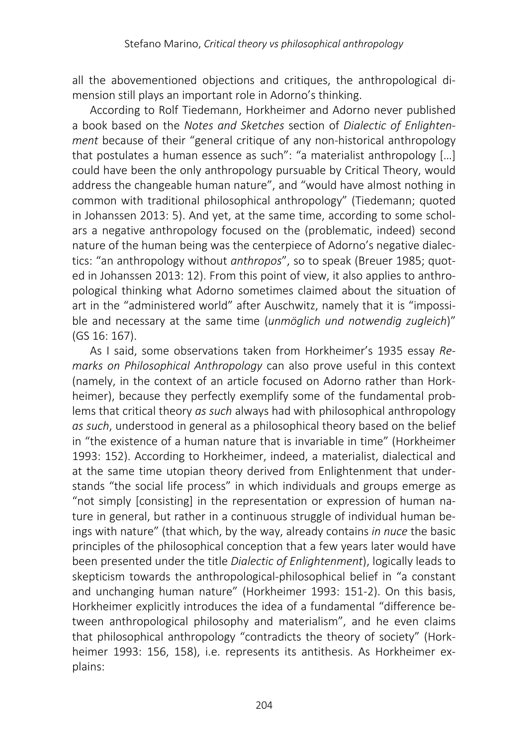all the abovementioned objections and critiques, the anthropological dimension still plays an important role in Adorno's thinking.

According to Rolf Tiedemann, Horkheimer and Adorno never published a book based on the *Notes and Sketches* section of *Dialectic of Enlightenment* because of their "general critique of any non-historical anthropology that postulates a human essence as such": "a materialist anthropology […] could have been the only anthropology pursuable by Critical Theory, would address the changeable human nature", and "would have almost nothing in common with traditional philosophical anthropology" (Tiedemann; quoted in Johanssen 2013: 5). And yet, at the same time, according to some scholars a negative anthropology focused on the (problematic, indeed) second nature of the human being was the centerpiece of Adorno's negative dialectics: "an anthropology without *anthropos*", so to speak (Breuer 1985; quoted in Johanssen 2013: 12). From this point of view, it also applies to anthropological thinking what Adorno sometimes claimed about the situation of art in the "administered world" after Auschwitz, namely that it is "impossible and necessary at the same time (*unmöglich und notwendig zugleich*)" (GS 16: 167).

As I said, some observations taken from Horkheimer's 1935 essay *Remarks on Philosophical Anthropology* can also prove useful in this context (namely, in the context of an article focused on Adorno rather than Horkheimer), because they perfectly exemplify some of the fundamental problems that critical theory *as such* always had with philosophical anthropology *as such*, understood in general as a philosophical theory based on the belief in "the existence of a human nature that is invariable in time" (Horkheimer 1993: 152). According to Horkheimer, indeed, a materialist, dialectical and at the same time utopian theory derived from Enlightenment that understands "the social life process" in which individuals and groups emerge as "not simply [consisting] in the representation or expression of human nature in general, but rather in a continuous struggle of individual human beings with nature" (that which, by the way, already contains *in nuce* the basic principles of the philosophical conception that a few years later would have been presented under the title *Dialectic of Enlightenment*), logically leads to skepticism towards the anthropological-philosophical belief in "a constant and unchanging human nature" (Horkheimer 1993: 151-2). On this basis, Horkheimer explicitly introduces the idea of a fundamental "difference between anthropological philosophy and materialism", and he even claims that philosophical anthropology "contradicts the theory of society" (Horkheimer 1993: 156, 158), i.e. represents its antithesis. As Horkheimer explains: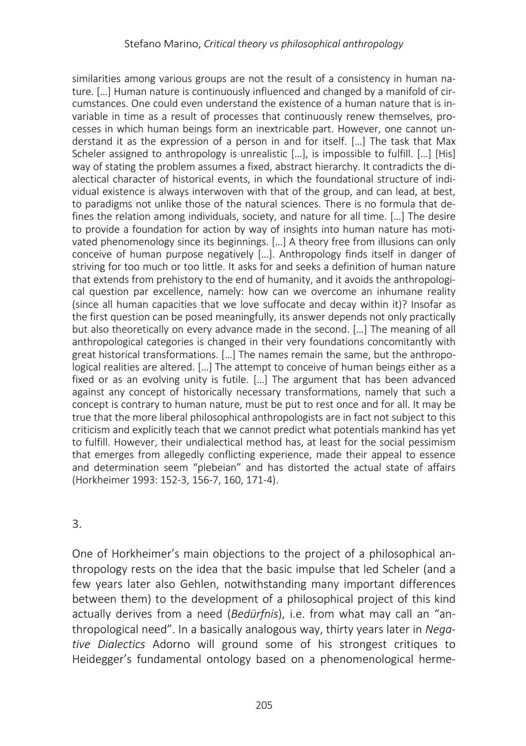similarities among various groups are not the result of a consistency in human nature. […] Human nature is continuously influenced and changed by a manifold of circumstances. One could even understand the existence of a human nature that is invariable in time as a result of processes that continuously renew themselves, processes in which human beings form an inextricable part. However, one cannot understand it as the expression of a person in and for itself. […] The task that Max Scheler assigned to anthropology is unrealistic […], is impossible to fulfill. […] [His] way of stating the problem assumes a fixed, abstract hierarchy. It contradicts the dialectical character of historical events, in which the foundational structure of individual existence is always interwoven with that of the group, and can lead, at best, to paradigms not unlike those of the natural sciences. There is no formula that defines the relation among individuals, society, and nature for all time. […] The desire to provide a foundation for action by way of insights into human nature has motivated phenomenology since its beginnings. […] A theory free from illusions can only conceive of human purpose negatively […]. Anthropology finds itself in danger of striving for too much or too little. It asks for and seeks a definition of human nature that extends from prehistory to the end of humanity, and it avoids the anthropological question par excellence, namely: how can we overcome an inhumane reality (since all human capacities that we love suffocate and decay within it)? Insofar as the first question can be posed meaningfully, its answer depends not only practically but also theoretically on every advance made in the second. […] The meaning of all anthropological categories is changed in their very foundations concomitantly with great historical transformations. […] The names remain the same, but the anthropological realities are altered. […] The attempt to conceive of human beings either as a fixed or as an evolving unity is futile. […] The argument that has been advanced against any concept of historically necessary transformations, namely that such a concept is contrary to human nature, must be put to rest once and for all. It may be true that the more liberal philosophical anthropologists are in fact not subject to this criticism and explicitly teach that we cannot predict what potentials mankind has yet to fulfill. However, their undialectical method has, at least for the social pessimism that emerges from allegedly conflicting experience, made their appeal to essence and determination seem "plebeian" and has distorted the actual state of affairs (Horkheimer 1993: 152-3, 156-7, 160, 171-4).

3.

One of Horkheimer's main objections to the project of a philosophical anthropology rests on the idea that the basic impulse that led Scheler (and a few years later also Gehlen, notwithstanding many important differences between them) to the development of a philosophical project of this kind actually derives from a need (*Bedürfnis*), i.e. from what may call an "anthropological need". In a basically analogous way, thirty years later in *Negative Dialectics* Adorno will ground some of his strongest critiques to Heidegger's fundamental ontology based on a phenomenological herme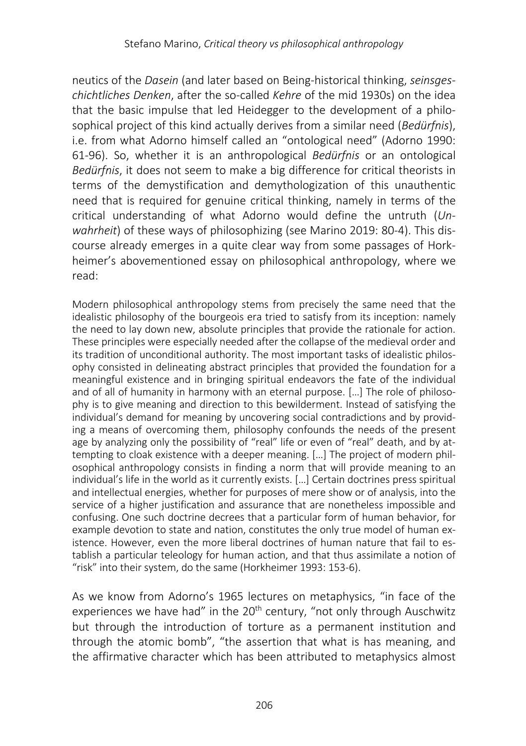neutics of the *Dasein* (and later based on Being-historical thinking, *seinsgeschichtliches Denken*, after the so-called *Kehre* of the mid 1930s) on the idea that the basic impulse that led Heidegger to the development of a philosophical project of this kind actually derives from a similar need (*Bedürfnis*), i.e. from what Adorno himself called an "ontological need" (Adorno 1990: 61-96). So, whether it is an anthropological *Bedürfnis* or an ontological *Bedürfnis*, it does not seem to make a big difference for critical theorists in terms of the demystification and demythologization of this unauthentic need that is required for genuine critical thinking, namely in terms of the critical understanding of what Adorno would define the untruth (*Unwahrheit*) of these ways of philosophizing (see Marino 2019: 80-4). This discourse already emerges in a quite clear way from some passages of Horkheimer's abovementioned essay on philosophical anthropology, where we read:

Modern philosophical anthropology stems from precisely the same need that the idealistic philosophy of the bourgeois era tried to satisfy from its inception: namely the need to lay down new, absolute principles that provide the rationale for action. These principles were especially needed after the collapse of the medieval order and its tradition of unconditional authority. The most important tasks of idealistic philosophy consisted in delineating abstract principles that provided the foundation for a meaningful existence and in bringing spiritual endeavors the fate of the individual and of all of humanity in harmony with an eternal purpose. […] The role of philosophy is to give meaning and direction to this bewilderment. Instead of satisfying the individual's demand for meaning by uncovering social contradictions and by providing a means of overcoming them, philosophy confounds the needs of the present age by analyzing only the possibility of "real" life or even of "real" death, and by attempting to cloak existence with a deeper meaning. […] The project of modern philosophical anthropology consists in finding a norm that will provide meaning to an individual's life in the world as it currently exists. […] Certain doctrines press spiritual and intellectual energies, whether for purposes of mere show or of analysis, into the service of a higher justification and assurance that are nonetheless impossible and confusing. One such doctrine decrees that a particular form of human behavior, for example devotion to state and nation, constitutes the only true model of human existence. However, even the more liberal doctrines of human nature that fail to establish a particular teleology for human action, and that thus assimilate a notion of "risk" into their system, do the same (Horkheimer 1993: 153-6).

As we know from Adorno's 1965 lectures on metaphysics, "in face of the experiences we have had" in the 20<sup>th</sup> century, "not only through Auschwitz but through the introduction of torture as a permanent institution and through the atomic bomb", "the assertion that what is has meaning, and the affirmative character which has been attributed to metaphysics almost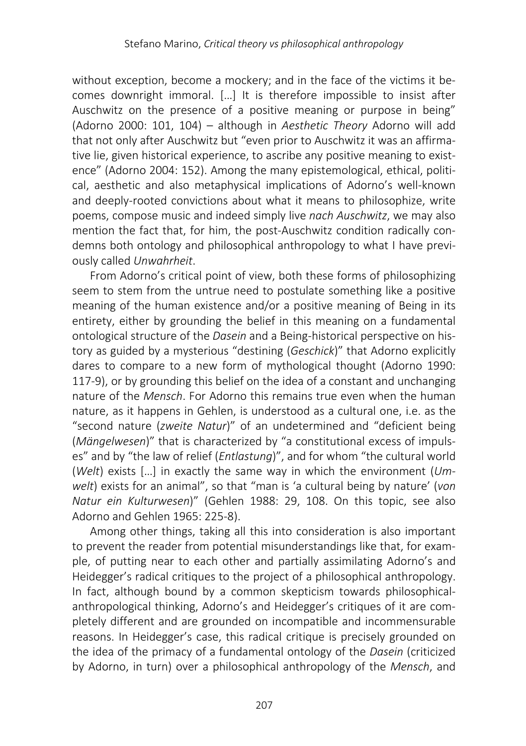without exception, become a mockery; and in the face of the victims it becomes downright immoral. […] It is therefore impossible to insist after Auschwitz on the presence of a positive meaning or purpose in being" (Adorno 2000: 101, 104) – although in *Aesthetic Theory* Adorno will add that not only after Auschwitz but "even prior to Auschwitz it was an affirmative lie, given historical experience, to ascribe any positive meaning to existence" (Adorno 2004: 152). Among the many epistemological, ethical, political, aesthetic and also metaphysical implications of Adorno's well-known and deeply-rooted convictions about what it means to philosophize, write poems, compose music and indeed simply live *nach Auschwitz*, we may also mention the fact that, for him, the post-Auschwitz condition radically condemns both ontology and philosophical anthropology to what I have previously called *Unwahrheit*.

From Adorno's critical point of view, both these forms of philosophizing seem to stem from the untrue need to postulate something like a positive meaning of the human existence and/or a positive meaning of Being in its entirety, either by grounding the belief in this meaning on a fundamental ontological structure of the *Dasein* and a Being-historical perspective on history as guided by a mysterious "destining (*Geschick*)" that Adorno explicitly dares to compare to a new form of mythological thought (Adorno 1990: 117-9), or by grounding this belief on the idea of a constant and unchanging nature of the *Mensch*. For Adorno this remains true even when the human nature, as it happens in Gehlen, is understood as a cultural one, i.e. as the "second nature (*zweite Natur*)" of an undetermined and "deficient being (*Mängelwesen*)" that is characterized by "a constitutional excess of impulses" and by "the law of relief (*Entlastung*)", and for whom "the cultural world (*Welt*) exists […] in exactly the same way in which the environment (*Umwelt*) exists for an animal", so that "man is 'a cultural being by nature' (*von Natur ein Kulturwesen*)" (Gehlen 1988: 29, 108. On this topic, see also Adorno and Gehlen 1965: 225-8).

Among other things, taking all this into consideration is also important to prevent the reader from potential misunderstandings like that, for example, of putting near to each other and partially assimilating Adorno's and Heidegger's radical critiques to the project of a philosophical anthropology. In fact, although bound by a common skepticism towards philosophicalanthropological thinking, Adorno's and Heidegger's critiques of it are completely different and are grounded on incompatible and incommensurable reasons. In Heidegger's case, this radical critique is precisely grounded on the idea of the primacy of a fundamental ontology of the *Dasein* (criticized by Adorno, in turn) over a philosophical anthropology of the *Mensch*, and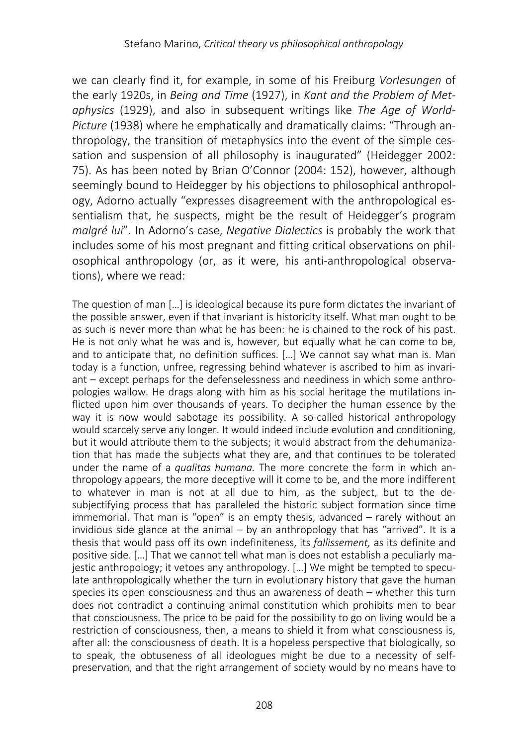we can clearly find it, for example, in some of his Freiburg *Vorlesungen* of the early 1920s, in *Being and Time* (1927), in *Kant and the Problem of Metaphysics* (1929), and also in subsequent writings like *The Age of World-Picture* (1938) where he emphatically and dramatically claims: "Through anthropology, the transition of metaphysics into the event of the simple cessation and suspension of all philosophy is inaugurated" (Heidegger 2002: 75). As has been noted by Brian O'Connor (2004: 152), however, although seemingly bound to Heidegger by his objections to philosophical anthropology, Adorno actually "expresses disagreement with the anthropological essentialism that, he suspects, might be the result of Heidegger's program *malgré lui*". In Adorno's case, *Negative Dialectics* is probably the work that includes some of his most pregnant and fitting critical observations on philosophical anthropology (or, as it were, his anti-anthropological observations), where we read:

The question of man […] is ideological because its pure form dictates the invariant of the possible answer, even if that invariant is historicity itself. What man ought to be as such is never more than what he has been: he is chained to the rock of his past. He is not only what he was and is, however, but equally what he can come to be, and to anticipate that, no definition suffices. […] We cannot say what man is. Man today is a function, unfree, regressing behind whatever is ascribed to him as invariant – except perhaps for the defenselessness and neediness in which some anthropologies wallow. He drags along with him as his social heritage the mutilations inflicted upon him over thousands of years. To decipher the human essence by the way it is now would sabotage its possibility. A so-called historical anthropology would scarcely serve any longer. It would indeed include evolution and conditioning, but it would attribute them to the subjects; it would abstract from the dehumanization that has made the subjects what they are, and that continues to be tolerated under the name of a *qualitas humana.* The more concrete the form in which anthropology appears, the more deceptive will it come to be, and the more indifferent to whatever in man is not at all due to him, as the subject, but to the desubjectifying process that has paralleled the historic subject formation since time immemorial. That man is "open" is an empty thesis, advanced – rarely without an invidious side glance at the animal – by an anthropology that has "arrived". It is a thesis that would pass off its own indefiniteness, its *fallissement,* as its definite and positive side. […] That we cannot tell what man is does not establish a peculiarly majestic anthropology; it vetoes any anthropology. […] We might be tempted to speculate anthropologically whether the turn in evolutionary history that gave the human species its open consciousness and thus an awareness of death – whether this turn does not contradict a continuing animal constitution which prohibits men to bear that consciousness. The price to be paid for the possibility to go on living would be a restriction of consciousness, then, a means to shield it from what consciousness is, after all: the consciousness of death. It is a hopeless perspective that biologically, so to speak, the obtuseness of all ideologues might be due to a necessity of selfpreservation, and that the right arrangement of society would by no means have to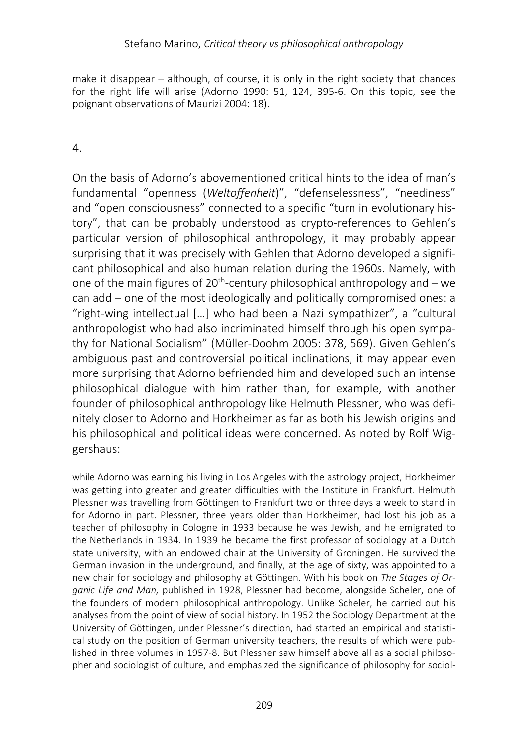make it disappear – although, of course, it is only in the right society that chances for the right life will arise (Adorno 1990: 51, 124, 395-6. On this topic, see the poignant observations of Maurizi 2004: 18).

# 4.

On the basis of Adorno's abovementioned critical hints to the idea of man's fundamental "openness (*Weltoffenheit*)", "defenselessness", "neediness" and "open consciousness" connected to a specific "turn in evolutionary history", that can be probably understood as crypto-references to Gehlen's particular version of philosophical anthropology, it may probably appear surprising that it was precisely with Gehlen that Adorno developed a significant philosophical and also human relation during the 1960s. Namely, with one of the main figures of  $20<sup>th</sup>$ -century philosophical anthropology and – we can add – one of the most ideologically and politically compromised ones: a "right-wing intellectual […] who had been a Nazi sympathizer", a "cultural anthropologist who had also incriminated himself through his open sympathy for National Socialism" (Müller-Doohm 2005: 378, 569). Given Gehlen's ambiguous past and controversial political inclinations, it may appear even more surprising that Adorno befriended him and developed such an intense philosophical dialogue with him rather than, for example, with another founder of philosophical anthropology like Helmuth Plessner, who was definitely closer to Adorno and Horkheimer as far as both his Jewish origins and his philosophical and political ideas were concerned. As noted by Rolf Wiggershaus:

while Adorno was earning his living in Los Angeles with the astrology project, Horkheimer was getting into greater and greater difficulties with the Institute in Frankfurt. Helmuth Plessner was travelling from Göttingen to Frankfurt two or three days a week to stand in for Adorno in part. Plessner, three years older than Horkheimer, had lost his job as a teacher of philosophy in Cologne in 1933 because he was Jewish, and he emigrated to the Netherlands in 1934. In 1939 he became the first professor of sociology at a Dutch state university, with an endowed chair at the University of Groningen. He survived the German invasion in the underground, and finally, at the age of sixty, was appointed to a new chair for sociology and philosophy at Göttingen. With his book on *The Stages of Organic Life and Man,* published in 1928, Plessner had become, alongside Scheler, one of the founders of modern philosophical anthropology. Unlike Scheler, he carried out his analyses from the point of view of social history. In 1952 the Sociology Department at the University of Göttingen, under Plessner's direction, had started an empirical and statistical study on the position of German university teachers, the results of which were published in three volumes in 1957-8. But Plessner saw himself above all as a social philosopher and sociologist of culture, and emphasized the significance of philosophy for sociol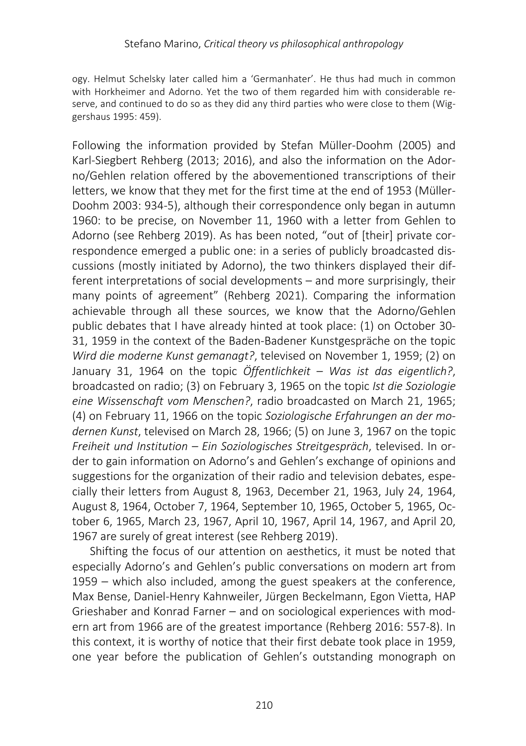ogy. Helmut Schelsky later called him a 'Germanhater'. He thus had much in common with Horkheimer and Adorno. Yet the two of them regarded him with considerable reserve, and continued to do so as they did any third parties who were close to them (Wiggershaus 1995: 459).

Following the information provided by Stefan Müller-Doohm (2005) and Karl-Siegbert Rehberg (2013; 2016), and also the information on the Adorno/Gehlen relation offered by the abovementioned transcriptions of their letters, we know that they met for the first time at the end of 1953 (Müller-Doohm 2003: 934-5), although their correspondence only began in autumn 1960: to be precise, on November 11, 1960 with a letter from Gehlen to Adorno (see Rehberg 2019). As has been noted, "out of [their] private correspondence emerged a public one: in a series of publicly broadcasted discussions (mostly initiated by Adorno), the two thinkers displayed their different interpretations of social developments – and more surprisingly, their many points of agreement" (Rehberg 2021). Comparing the information achievable through all these sources, we know that the Adorno/Gehlen public debates that I have already hinted at took place: (1) on October 30- 31, 1959 in the context of the Baden-Badener Kunstgespräche on the topic *Wird die moderne Kunst gemanagt?*, televised on November 1, 1959; (2) on January 31, 1964 on the topic *Öffentlichkeit – Was ist das eigentlich?*, broadcasted on radio; (3) on February 3, 1965 on the topic *Ist die Soziologie eine Wissenschaft vom Menschen?*, radio broadcasted on March 21, 1965; (4) on February 11, 1966 on the topic *Soziologische Erfahrungen an der modernen Kunst*, televised on March 28, 1966; (5) on June 3, 1967 on the topic *Freiheit und Institution – Ein Soziologisches Streitgespräch*, televised. In order to gain information on Adorno's and Gehlen's exchange of opinions and suggestions for the organization of their radio and television debates, especially their letters from August 8, 1963, December 21, 1963, July 24, 1964, August 8, 1964, October 7, 1964, September 10, 1965, October 5, 1965, October 6, 1965, March 23, 1967, April 10, 1967, April 14, 1967, and April 20, 1967 are surely of great interest (see Rehberg 2019).

Shifting the focus of our attention on aesthetics, it must be noted that especially Adorno's and Gehlen's public conversations on modern art from 1959 – which also included, among the guest speakers at the conference, Max Bense, Daniel-Henry Kahnweiler, Jürgen Beckelmann, Egon Vietta, HAP Grieshaber and Konrad Farner – and on sociological experiences with modern art from 1966 are of the greatest importance (Rehberg 2016: 557-8). In this context, it is worthy of notice that their first debate took place in 1959, one year before the publication of Gehlen's outstanding monograph on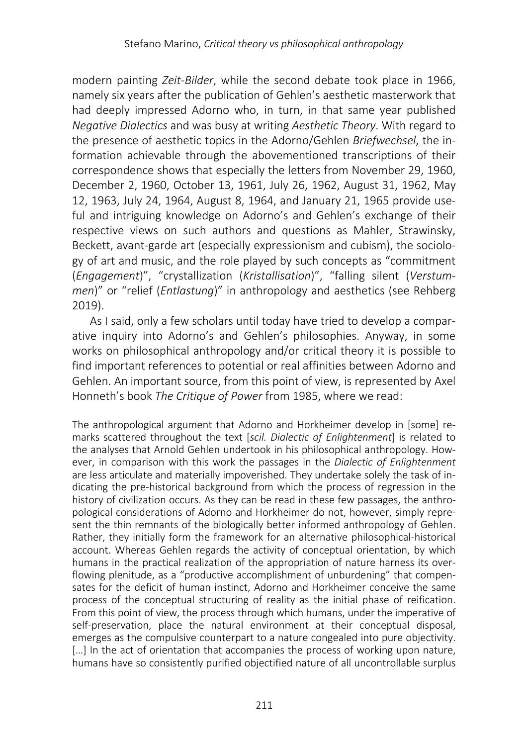modern painting *Zeit-Bilder*, while the second debate took place in 1966, namely six years after the publication of Gehlen's aesthetic masterwork that had deeply impressed Adorno who, in turn, in that same year published *Negative Dialectics* and was busy at writing *Aesthetic Theory*. With regard to the presence of aesthetic topics in the Adorno/Gehlen *Briefwechsel*, the information achievable through the abovementioned transcriptions of their correspondence shows that especially the letters from November 29, 1960, December 2, 1960, October 13, 1961, July 26, 1962, August 31, 1962, May 12, 1963, July 24, 1964, August 8, 1964, and January 21, 1965 provide useful and intriguing knowledge on Adorno's and Gehlen's exchange of their respective views on such authors and questions as Mahler, Strawinsky, Beckett, avant-garde art (especially expressionism and cubism), the sociology of art and music, and the role played by such concepts as "commitment (*Engagement*)", "crystallization (*Kristallisation*)", "falling silent (*Verstummen*)" or "relief (*Entlastung*)" in anthropology and aesthetics (see Rehberg 2019).

As I said, only a few scholars until today have tried to develop a comparative inquiry into Adorno's and Gehlen's philosophies. Anyway, in some works on philosophical anthropology and/or critical theory it is possible to find important references to potential or real affinities between Adorno and Gehlen. An important source, from this point of view, is represented by Axel Honneth's book *The Critique of Power* from 1985, where we read:

The anthropological argument that Adorno and Horkheimer develop in [some] remarks scattered throughout the text [*scil. Dialectic of Enlightenment*] is related to the analyses that Arnold Gehlen undertook in his philosophical anthropology. However, in comparison with this work the passages in the *Dialectic of Enlightenment*  are less articulate and materially impoverished. They undertake solely the task of indicating the pre-historical background from which the process of regression in the history of civilization occurs. As they can be read in these few passages, the anthropological considerations of Adorno and Horkheimer do not, however, simply represent the thin remnants of the biologically better informed anthropology of Gehlen. Rather, they initially form the framework for an alternative philosophical-historical account. Whereas Gehlen regards the activity of conceptual orientation, by which humans in the practical realization of the appropriation of nature harness its overflowing plenitude, as a "productive accomplishment of unburdening" that compensates for the deficit of human instinct, Adorno and Horkheimer conceive the same process of the conceptual structuring of reality as the initial phase of reification. From this point of view, the process through which humans, under the imperative of self-preservation, place the natural environment at their conceptual disposal, emerges as the compulsive counterpart to a nature congealed into pure objectivity. [...] In the act of orientation that accompanies the process of working upon nature, humans have so consistently purified objectified nature of all uncontrollable surplus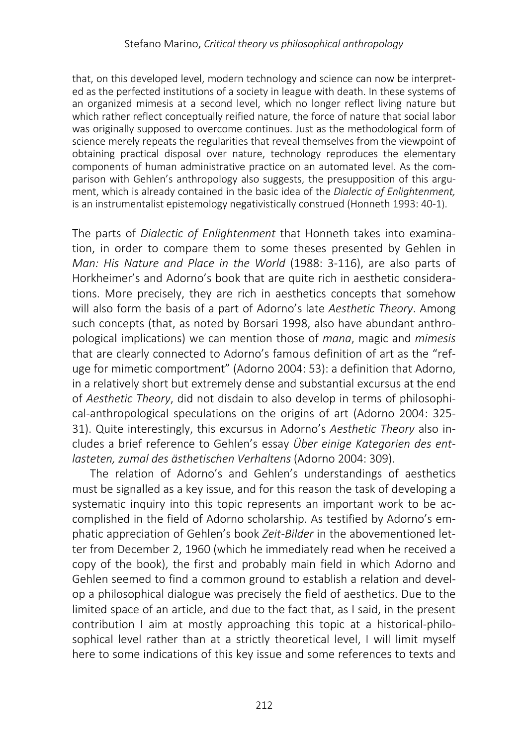that, on this developed level, modern technology and science can now be interpreted as the perfected institutions of a society in league with death. In these systems of an organized mimesis at a second level, which no longer reflect living nature but which rather reflect conceptually reified nature, the force of nature that social labor was originally supposed to overcome continues. Just as the methodological form of science merely repeats the regularities that reveal themselves from the viewpoint of obtaining practical disposal over nature, technology reproduces the elementary components of human administrative practice on an automated level. As the comparison with Gehlen's anthropology also suggests, the presupposition of this argument, which is already contained in the basic idea of the *Dialectic of Enlightenment,*  is an instrumentalist epistemology negativistically construed (Honneth 1993: 40-1).

The parts of *Dialectic of Enlightenment* that Honneth takes into examination, in order to compare them to some theses presented by Gehlen in *Man: His Nature and Place in the World* (1988: 3-116), are also parts of Horkheimer's and Adorno's book that are quite rich in aesthetic considerations. More precisely, they are rich in aesthetics concepts that somehow will also form the basis of a part of Adorno's late *Aesthetic Theory*. Among such concepts (that, as noted by Borsari 1998, also have abundant anthropological implications) we can mention those of *mana*, magic and *mimesis* that are clearly connected to Adorno's famous definition of art as the "refuge for mimetic comportment" (Adorno 2004: 53): a definition that Adorno, in a relatively short but extremely dense and substantial excursus at the end of *Aesthetic Theory*, did not disdain to also develop in terms of philosophical-anthropological speculations on the origins of art (Adorno 2004: 325- 31). Quite interestingly, this excursus in Adorno's *Aesthetic Theory* also includes a brief reference to Gehlen's essay *Über einige Kategorien des entlasteten, zumal des ästhetischen Verhaltens* (Adorno 2004: 309).

The relation of Adorno's and Gehlen's understandings of aesthetics must be signalled as a key issue, and for this reason the task of developing a systematic inquiry into this topic represents an important work to be accomplished in the field of Adorno scholarship. As testified by Adorno's emphatic appreciation of Gehlen's book *Zeit-Bilder* in the abovementioned letter from December 2, 1960 (which he immediately read when he received a copy of the book), the first and probably main field in which Adorno and Gehlen seemed to find a common ground to establish a relation and develop a philosophical dialogue was precisely the field of aesthetics. Due to the limited space of an article, and due to the fact that, as I said, in the present contribution I aim at mostly approaching this topic at a historical-philosophical level rather than at a strictly theoretical level, I will limit myself here to some indications of this key issue and some references to texts and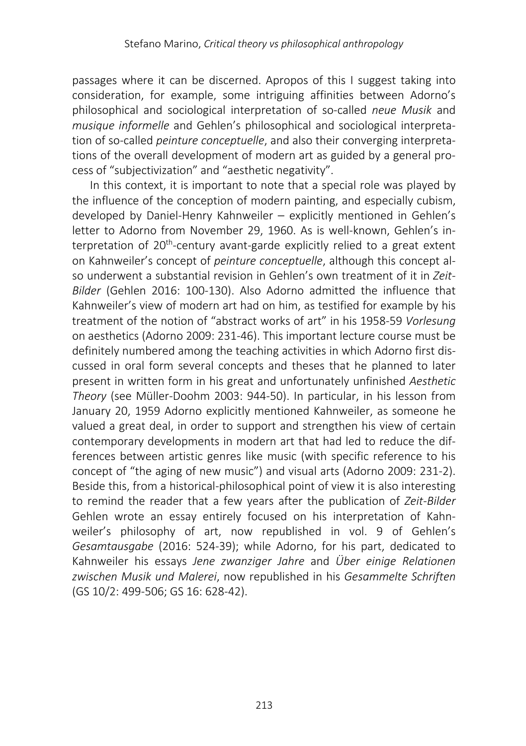passages where it can be discerned. Apropos of this I suggest taking into consideration, for example, some intriguing affinities between Adorno's philosophical and sociological interpretation of so-called *neue Musik* and *musique informelle* and Gehlen's philosophical and sociological interpretation of so-called *peinture conceptuelle*, and also their converging interpretations of the overall development of modern art as guided by a general process of "subjectivization" and "aesthetic negativity".

In this context, it is important to note that a special role was played by the influence of the conception of modern painting, and especially cubism, developed by Daniel-Henry Kahnweiler – explicitly mentioned in Gehlen's letter to Adorno from November 29, 1960. As is well-known, Gehlen's interpretation of 20<sup>th</sup>-century avant-garde explicitly relied to a great extent on Kahnweiler's concept of *peinture conceptuelle*, although this concept also underwent a substantial revision in Gehlen's own treatment of it in *Zeit-Bilder* (Gehlen 2016: 100-130). Also Adorno admitted the influence that Kahnweiler's view of modern art had on him, as testified for example by his treatment of the notion of "abstract works of art" in his 1958-59 *Vorlesung* on aesthetics (Adorno 2009: 231-46). This important lecture course must be definitely numbered among the teaching activities in which Adorno first discussed in oral form several concepts and theses that he planned to later present in written form in his great and unfortunately unfinished *Aesthetic Theory* (see Müller-Doohm 2003: 944-50). In particular, in his lesson from January 20, 1959 Adorno explicitly mentioned Kahnweiler, as someone he valued a great deal, in order to support and strengthen his view of certain contemporary developments in modern art that had led to reduce the differences between artistic genres like music (with specific reference to his concept of "the aging of new music") and visual arts (Adorno 2009: 231-2). Beside this, from a historical-philosophical point of view it is also interesting to remind the reader that a few years after the publication of *Zeit-Bilder* Gehlen wrote an essay entirely focused on his interpretation of Kahnweiler's philosophy of art, now republished in vol. 9 of Gehlen's *Gesamtausgabe* (2016: 524-39); while Adorno, for his part, dedicated to Kahnweiler his essays *Jene zwanziger Jahre* and *Über einige Relationen zwischen Musik und Malerei*, now republished in his *Gesammelte Schriften* (GS 10/2: 499-506; GS 16: 628-42).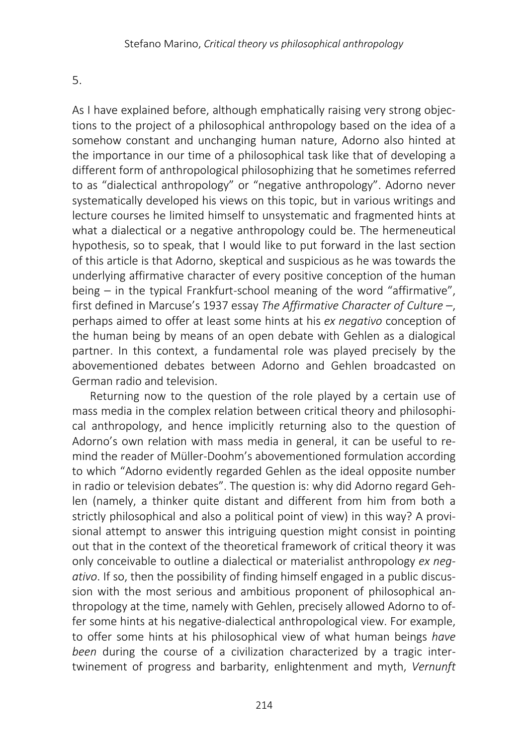5.

As I have explained before, although emphatically raising very strong objections to the project of a philosophical anthropology based on the idea of a somehow constant and unchanging human nature, Adorno also hinted at the importance in our time of a philosophical task like that of developing a different form of anthropological philosophizing that he sometimes referred to as "dialectical anthropology" or "negative anthropology". Adorno never systematically developed his views on this topic, but in various writings and lecture courses he limited himself to unsystematic and fragmented hints at what a dialectical or a negative anthropology could be. The hermeneutical hypothesis, so to speak, that I would like to put forward in the last section of this article is that Adorno, skeptical and suspicious as he was towards the underlying affirmative character of every positive conception of the human being – in the typical Frankfurt-school meaning of the word "affirmative", first defined in Marcuse's 1937 essay *The Affirmative Character of Culture* –, perhaps aimed to offer at least some hints at his *ex negativo* conception of the human being by means of an open debate with Gehlen as a dialogical partner. In this context, a fundamental role was played precisely by the abovementioned debates between Adorno and Gehlen broadcasted on German radio and television.

Returning now to the question of the role played by a certain use of mass media in the complex relation between critical theory and philosophical anthropology, and hence implicitly returning also to the question of Adorno's own relation with mass media in general, it can be useful to remind the reader of Müller-Doohm's abovementioned formulation according to which "Adorno evidently regarded Gehlen as the ideal opposite number in radio or television debates". The question is: why did Adorno regard Gehlen (namely, a thinker quite distant and different from him from both a strictly philosophical and also a political point of view) in this way? A provisional attempt to answer this intriguing question might consist in pointing out that in the context of the theoretical framework of critical theory it was only conceivable to outline a dialectical or materialist anthropology *ex negativo*. If so, then the possibility of finding himself engaged in a public discussion with the most serious and ambitious proponent of philosophical anthropology at the time, namely with Gehlen, precisely allowed Adorno to offer some hints at his negative-dialectical anthropological view. For example, to offer some hints at his philosophical view of what human beings *have been* during the course of a civilization characterized by a tragic intertwinement of progress and barbarity, enlightenment and myth, *Vernunft*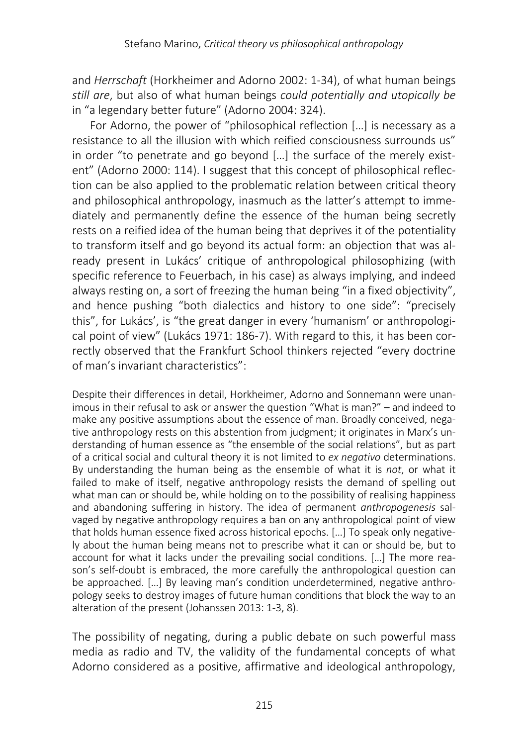and *Herrschaft* (Horkheimer and Adorno 2002: 1-34), of what human beings *still are*, but also of what human beings *could potentially and utopically be* in "a legendary better future" (Adorno 2004: 324).

For Adorno, the power of "philosophical reflection […] is necessary as a resistance to all the illusion with which reified consciousness surrounds us" in order "to penetrate and go beyond […] the surface of the merely existent" (Adorno 2000: 114). I suggest that this concept of philosophical reflection can be also applied to the problematic relation between critical theory and philosophical anthropology, inasmuch as the latter's attempt to immediately and permanently define the essence of the human being secretly rests on a reified idea of the human being that deprives it of the potentiality to transform itself and go beyond its actual form: an objection that was already present in Lukács' critique of anthropological philosophizing (with specific reference to Feuerbach, in his case) as always implying, and indeed always resting on, a sort of freezing the human being "in a fixed objectivity", and hence pushing "both dialectics and history to one side": "precisely this", for Lukács', is "the great danger in every 'humanism' or anthropological point of view" (Lukács 1971: 186-7). With regard to this, it has been correctly observed that the Frankfurt School thinkers rejected "every doctrine of man's invariant characteristics":

Despite their differences in detail, Horkheimer, Adorno and Sonnemann were unanimous in their refusal to ask or answer the question "What is man?" – and indeed to make any positive assumptions about the essence of man. Broadly conceived, negative anthropology rests on this abstention from judgment; it originates in Marx's understanding of human essence as "the ensemble of the social relations", but as part of a critical social and cultural theory it is not limited to *ex negativo* determinations. By understanding the human being as the ensemble of what it is *not*, or what it failed to make of itself, negative anthropology resists the demand of spelling out what man can or should be, while holding on to the possibility of realising happiness and abandoning suffering in history. The idea of permanent *anthropogenesis* salvaged by negative anthropology requires a ban on any anthropological point of view that holds human essence fixed across historical epochs. […] To speak only negatively about the human being means not to prescribe what it can or should be, but to account for what it lacks under the prevailing social conditions. […] The more reason's self-doubt is embraced, the more carefully the anthropological question can be approached. […] By leaving man's condition underdetermined, negative anthropology seeks to destroy images of future human conditions that block the way to an alteration of the present (Johanssen 2013: 1-3, 8).

The possibility of negating, during a public debate on such powerful mass media as radio and TV, the validity of the fundamental concepts of what Adorno considered as a positive, affirmative and ideological anthropology,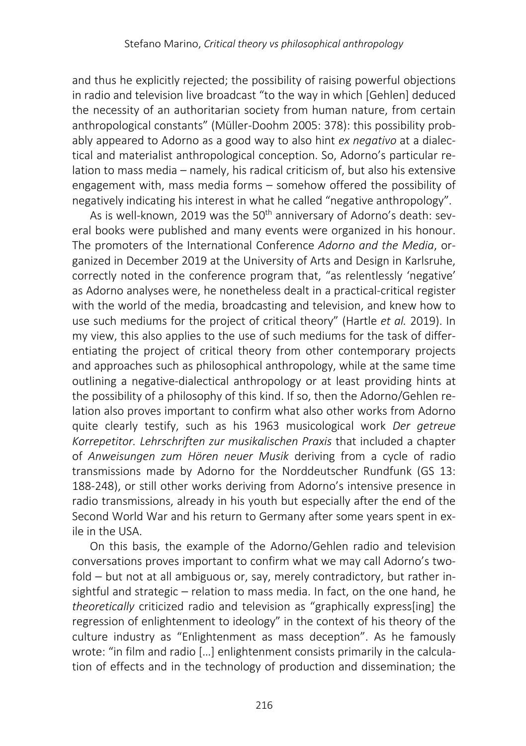and thus he explicitly rejected; the possibility of raising powerful objections in radio and television live broadcast "to the way in which [Gehlen] deduced the necessity of an authoritarian society from human nature, from certain anthropological constants" (Müller-Doohm 2005: 378): this possibility probably appeared to Adorno as a good way to also hint *ex negativo* at a dialectical and materialist anthropological conception. So, Adorno's particular relation to mass media – namely, his radical criticism of, but also his extensive engagement with, mass media forms – somehow offered the possibility of negatively indicating his interest in what he called "negative anthropology".

As is well-known, 2019 was the 50<sup>th</sup> anniversary of Adorno's death: several books were published and many events were organized in his honour. The promoters of the International Conference *Adorno and the Media*, organized in December 2019 at the University of Arts and Design in Karlsruhe, correctly noted in the conference program that, "as relentlessly 'negative' as Adorno analyses were, he nonetheless dealt in a practical-critical register with the world of the media, broadcasting and television, and knew how to use such mediums for the project of critical theory" (Hartle *et al.* 2019). In my view, this also applies to the use of such mediums for the task of differentiating the project of critical theory from other contemporary projects and approaches such as philosophical anthropology, while at the same time outlining a negative-dialectical anthropology or at least providing hints at the possibility of a philosophy of this kind. If so, then the Adorno/Gehlen relation also proves important to confirm what also other works from Adorno quite clearly testify, such as his 1963 musicological work *Der getreue Korrepetitor. Lehrschriften zur musikalischen Praxis* that included a chapter of *Anweisungen zum Hören neuer Musik* deriving from a cycle of radio transmissions made by Adorno for the Norddeutscher Rundfunk (GS 13: 188-248), or still other works deriving from Adorno's intensive presence in radio transmissions, already in his youth but especially after the end of the Second World War and his return to Germany after some years spent in exile in the USA.

On this basis, the example of the Adorno/Gehlen radio and television conversations proves important to confirm what we may call Adorno's twofold – but not at all ambiguous or, say, merely contradictory, but rather insightful and strategic – relation to mass media. In fact, on the one hand, he *theoretically* criticized radio and television as "graphically express[ing] the regression of enlightenment to ideology" in the context of his theory of the culture industry as "Enlightenment as mass deception". As he famously wrote: "in film and radio […] enlightenment consists primarily in the calculation of effects and in the technology of production and dissemination; the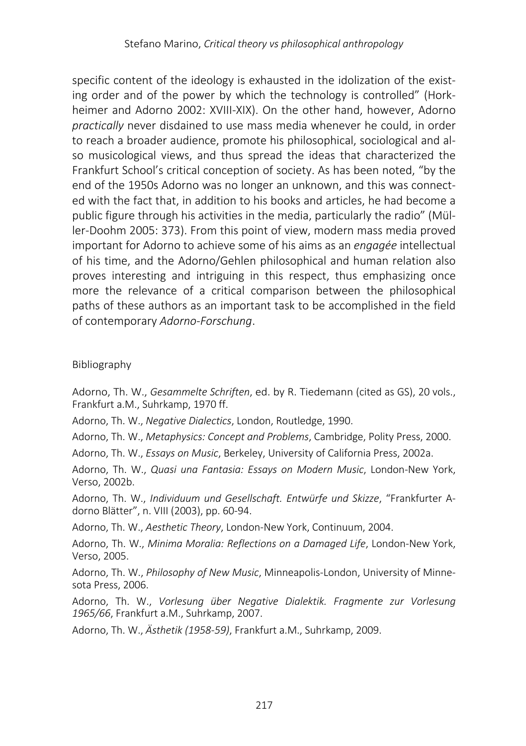specific content of the ideology is exhausted in the idolization of the existing order and of the power by which the technology is controlled" (Horkheimer and Adorno 2002: XVIII-XIX). On the other hand, however, Adorno *practically* never disdained to use mass media whenever he could, in order to reach a broader audience, promote his philosophical, sociological and also musicological views, and thus spread the ideas that characterized the Frankfurt School's critical conception of society. As has been noted, "by the end of the 1950s Adorno was no longer an unknown, and this was connected with the fact that, in addition to his books and articles, he had become a public figure through his activities in the media, particularly the radio" (Müller-Doohm 2005: 373). From this point of view, modern mass media proved important for Adorno to achieve some of his aims as an *engagée* intellectual of his time, and the Adorno/Gehlen philosophical and human relation also proves interesting and intriguing in this respect, thus emphasizing once more the relevance of a critical comparison between the philosophical paths of these authors as an important task to be accomplished in the field of contemporary *Adorno-Forschung*.

# Bibliography

Adorno, Th. W., *Gesammelte Schriften*, ed. by R. Tiedemann (cited as GS), 20 vols., Frankfurt a.M., Suhrkamp, 1970 ff.

Adorno, Th. W., *Negative Dialectics*, London, Routledge, 1990.

Adorno, Th. W., *Metaphysics: Concept and Problems*, Cambridge, Polity Press, 2000.

Adorno, Th. W., *Essays on Music*, Berkeley, University of California Press, 2002a.

Adorno, Th. W., *Quasi una Fantasia: Essays on Modern Music*, London-New York, Verso, 2002b.

Adorno, Th. W., *Individuum und Gesellschaft. Entwürfe und Skizze*, "Frankfurter Adorno Blätter", n. VIII (2003), pp. 60-94.

Adorno, Th. W., *Aesthetic Theory*, London-New York, Continuum, 2004.

Adorno, Th. W., *Minima Moralia: Reflections on a Damaged Life*, London-New York, Verso, 2005.

Adorno, Th. W., *Philosophy of New Music*, Minneapolis-London, University of Minnesota Press, 2006.

Adorno, Th. W., *Vorlesung über Negative Dialektik. Fragmente zur Vorlesung 1965/66*, Frankfurt a.M., Suhrkamp, 2007.

Adorno, Th. W., *Ästhetik (1958-59)*, Frankfurt a.M., Suhrkamp, 2009.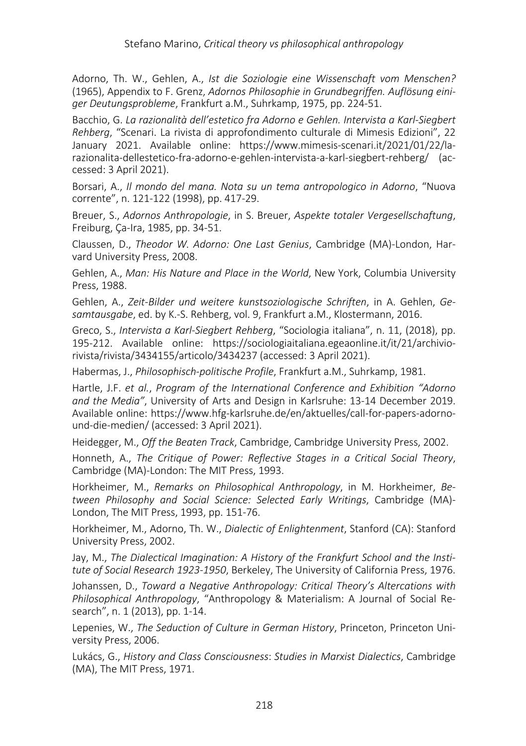Adorno, Th. W., Gehlen, A., *Ist die Soziologie eine Wissenschaft vom Menschen?* (1965), Appendix to F. Grenz, *Adornos Philosophie in Grundbegriffen. Auflösung einiger Deutungsprobleme*, Frankfurt a.M., Suhrkamp, 1975, pp. 224-51.

Bacchio, G. *La razionalità dell'estetico fra Adorno e Gehlen. Intervista a Karl-Siegbert Rehberg*, "Scenari. La rivista di approfondimento culturale di Mimesis Edizioni", 22 January 2021. Available online: https://www.mimesis-scenari.it/2021/01/22/larazionalita-dellestetico-fra-adorno-e-gehlen-intervista-a-karl-siegbert-rehberg/ (accessed: 3 April 2021).

Borsari, A., *Il mondo del mana. Nota su un tema antropologico in Adorno*, "Nuova corrente", n. 121-122 (1998), pp. 417-29.

Breuer, S., *Adornos Anthropologie*, in S. Breuer, *Aspekte totaler Vergesellschaftung*, Freiburg, Ça-Ira, 1985, pp. 34-51.

Claussen, D., *Theodor W. Adorno: One Last Genius*, Cambridge (MA)-London, Harvard University Press, 2008.

Gehlen, A., *Man: His Nature and Place in the World*, New York, Columbia University Press, 1988.

Gehlen, A., *Zeit*-*Bilder und weitere kunstsoziologische Schriften*, in A. Gehlen, *Gesamtausgabe*, ed. by K.-S. Rehberg, vol. 9, Frankfurt a.M., Klostermann, 2016.

Greco, S., *Intervista a Karl-Siegbert Rehberg*, "Sociologia italiana", n. 11, (2018), pp. 195-212. Available online: https://sociologiaitaliana.egeaonline.it/it/21/archiviorivista/rivista/3434155/articolo/3434237 (accessed: 3 April 2021).

Habermas, J., *Philosophisch*-*politische Profile*, Frankfurt a.M., Suhrkamp, 1981.

Hartle, J.F. *et al.*, *Program of the International Conference and Exhibition "Adorno and the Media"*, University of Arts and Design in Karlsruhe: 13-14 December 2019. Available online: https://www.hfg-karlsruhe.de/en/aktuelles/call-for-papers-adornound-die-medien/ (accessed: 3 April 2021).

Heidegger, M., *Off the Beaten Track*, Cambridge, Cambridge University Press, 2002.

Honneth, A., *The Critique of Power: Reflective Stages in a Critical Social Theory*, Cambridge (MA)-London: The MIT Press, 1993.

Horkheimer, M., *Remarks on Philosophical Anthropology*, in M. Horkheimer, *Between Philosophy and Social Science: Selected Early Writings*, Cambridge (MA)- London, The MIT Press, 1993, pp. 151-76.

Horkheimer, M., Adorno, Th. W., *Dialectic of Enlightenment*, Stanford (CA): Stanford University Press, 2002.

Jay, M., *The Dialectical Imagination: A History of the Frankfurt School and the Institute of Social Research 1923-1950*, Berkeley, The University of California Press, 1976.

Johanssen, D., *Toward a Negative Anthropology: Critical Theory's Altercations with Philosophical Anthropology*, "Anthropology & Materialism: A Journal of Social Research", n. 1 (2013), pp. 1-14.

Lepenies, W., *The Seduction of Culture in German History*, Princeton, Princeton University Press, 2006.

Lukács, G., *History and Class Consciousness*: *Studies in Marxist Dialectics*, Cambridge (MA), The MIT Press, 1971.